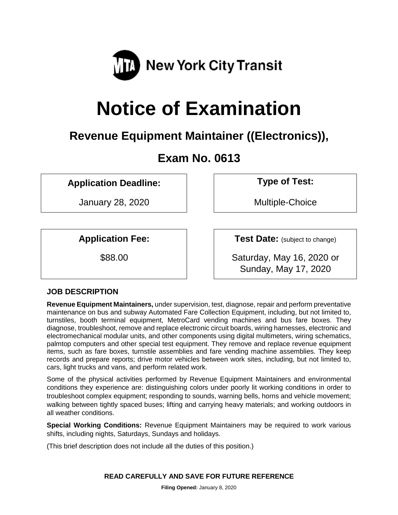

# **Notice of Examination**

# **Revenue Equipment Maintainer ((Electronics)),**

# **Exam No. 0613**

**Application Deadline: Type of Test:** 

January 28, 2020 | | | Multiple-Choice

**Application Fee:**  $\vert$  **Test Date:** (subject to change)

\$88.00 Saturday, May 16, 2020 or Sunday, May 17, 2020

# **JOB DESCRIPTION**

**Revenue Equipment Maintainers,** under supervision, test, diagnose, repair and perform preventative maintenance on bus and subway Automated Fare Collection Equipment, including, but not limited to, turnstiles, booth terminal equipment, MetroCard vending machines and bus fare boxes. They diagnose, troubleshoot, remove and replace electronic circuit boards, wiring harnesses, electronic and electromechanical modular units, and other components using digital multimeters, wiring schematics, palmtop computers and other special test equipment. They remove and replace revenue equipment items, such as fare boxes, turnstile assemblies and fare vending machine assemblies. They keep records and prepare reports; drive motor vehicles between work sites, including, but not limited to, cars, light trucks and vans, and perform related work.

Some of the physical activities performed by Revenue Equipment Maintainers and environmental conditions they experience are: distinguishing colors under poorly lit working conditions in order to troubleshoot complex equipment; responding to sounds, warning bells, horns and vehicle movement; walking between tightly spaced buses; lifting and carrying heavy materials; and working outdoors in all weather conditions.

**Special Working Conditions:** Revenue Equipment Maintainers may be required to work various shifts, including nights, Saturdays, Sundays and holidays.

(This brief description does not include all the duties of this position.)

**READ CAREFULLY AND SAVE FOR FUTURE REFERENCE**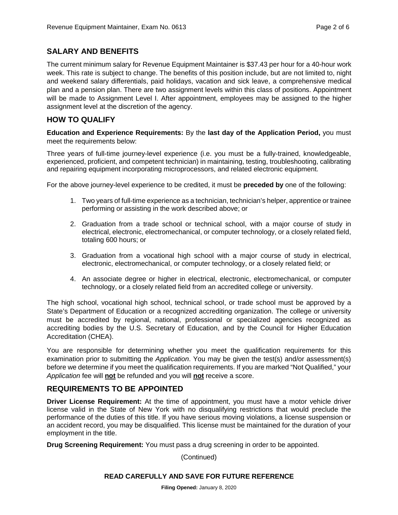### **SALARY AND BENEFITS**

The current minimum salary for Revenue Equipment Maintainer is \$37.43 per hour for a 40-hour work week. This rate is subject to change. The benefits of this position include, but are not limited to, night and weekend salary differentials, paid holidays, vacation and sick leave, a comprehensive medical plan and a pension plan. There are two assignment levels within this class of positions. Appointment will be made to Assignment Level I. After appointment, employees may be assigned to the higher assignment level at the discretion of the agency.

#### **HOW TO QUALIFY**

**Education and Experience Requirements:** By the **last day of the Application Period,** you must meet the requirements below:

Three years of full-time journey-level experience (i.e. you must be a fully-trained, knowledgeable, experienced, proficient, and competent technician) in maintaining, testing, troubleshooting, calibrating and repairing equipment incorporating microprocessors, and related electronic equipment.

For the above journey-level experience to be credited, it must be **preceded by** one of the following:

- 1. Two years of full-time experience as a technician, technician's helper, apprentice or trainee performing or assisting in the work described above; or
- 2. Graduation from a trade school or technical school, with a major course of study in electrical, electronic, electromechanical, or computer technology, or a closely related field, totaling 600 hours; or
- 3. Graduation from a vocational high school with a major course of study in electrical, electronic, electromechanical, or computer technology, or a closely related field; or
- 4. An associate degree or higher in electrical, electronic, electromechanical, or computer technology, or a closely related field from an accredited college or university.

The high school, vocational high school, technical school, or trade school must be approved by a State's Department of Education or a recognized accrediting organization. The college or university must be accredited by regional, national, professional or specialized agencies recognized as accrediting bodies by the U.S. Secretary of Education, and by the Council for Higher Education Accreditation (CHEA).

You are responsible for determining whether you meet the qualification requirements for this examination prior to submitting the *Application*. You may be given the test(s) and/or assessment(s) before we determine if you meet the qualification requirements. If you are marked "Not Qualified," your *Application* fee will **not** be refunded and you will **not** receive a score.

# **REQUIREMENTS TO BE APPOINTED**

**Driver License Requirement:** At the time of appointment, you must have a motor vehicle driver license valid in the State of New York with no disqualifying restrictions that would preclude the performance of the duties of this title. If you have serious moving violations, a license suspension or an accident record, you may be disqualified. This license must be maintained for the duration of your employment in the title.

**Drug Screening Requirement:** You must pass a drug screening in order to be appointed.

(Continued)

#### **READ CAREFULLY AND SAVE FOR FUTURE REFERENCE**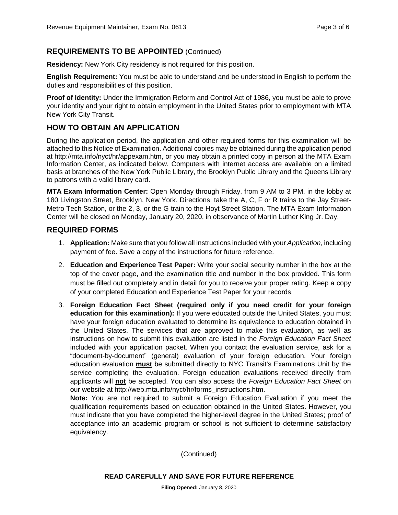# **REQUIREMENTS TO BE APPOINTED** (Continued)

**Residency:** New York City residency is not required for this position.

**English Requirement:** You must be able to understand and be understood in English to perform the duties and responsibilities of this position.

**Proof of Identity:** Under the Immigration Reform and Control Act of 1986, you must be able to prove your identity and your right to obtain employment in the United States prior to employment with MTA New York City Transit.

# **HOW TO OBTAIN AN APPLICATION**

During the application period, the application and other required forms for this examination will be attached to this Notice of Examination. Additional copies may be obtained during the application period at http://mta.info/nyct/hr/appexam.htm, or you may obtain a printed copy in person at the MTA Exam Information Center, as indicated below. Computers with internet access are available on a limited basis at branches of the New York Public Library, the Brooklyn Public Library and the Queens Library to patrons with a valid library card.

**MTA Exam Information Center:** Open Monday through Friday, from 9 AM to 3 PM, in the lobby at 180 Livingston Street, Brooklyn, New York. Directions: take the A, C, F or R trains to the Jay Street-Metro Tech Station, or the 2, 3, or the G train to the Hoyt Street Station. The MTA Exam Information Center will be closed on Monday, January 20, 2020, in observance of Martin Luther King Jr. Day.

# **REQUIRED FORMS**

- 1. **Application:** Make sure that you follow all instructions included with your *Application*, including payment of fee. Save a copy of the instructions for future reference.
- 2. **Education and Experience Test Paper:** Write your social security number in the box at the top of the cover page, and the examination title and number in the box provided. This form must be filled out completely and in detail for you to receive your proper rating. Keep a copy of your completed Education and Experience Test Paper for your records.
- 3. **Foreign Education Fact Sheet (required only if you need credit for your foreign education for this examination):** If you were educated outside the United States, you must have your foreign education evaluated to determine its equivalence to education obtained in the United States. The services that are approved to make this evaluation, as well as instructions on how to submit this evaluation are listed in the *Foreign Education Fact Sheet* included with your application packet. When you contact the evaluation service, ask for a "document-by-document" (general) evaluation of your foreign education. Your foreign education evaluation **must** be submitted directly to NYC Transit's Examinations Unit by the service completing the evaluation. Foreign education evaluations received directly from applicants will **not** be accepted. You can also access the *Foreign Education Fact Sheet* on our website at [http://web.mta.info/nyct/hr/forms\\_instructions.htm.](http://web.mta.info/nyct/hr/forms_instructions.htm)

**Note:** You are not required to submit a Foreign Education Evaluation if you meet the qualification requirements based on education obtained in the United States. However, you must indicate that you have completed the higher-level degree in the United States; proof of acceptance into an academic program or school is not sufficient to determine satisfactory equivalency.

(Continued)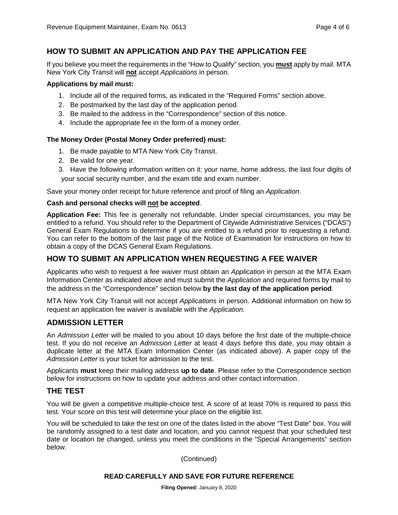# **HOW TO SUBMIT AN APPLICATION AND PAY THE APPLICATION FEE**

If you believe you meet the requirements in the "How to Qualify" section, you **must** apply by mail. MTA New York City Transit will **not** accept *Applications* in person.

#### **Applications by mail must:**

- 1. Include all of the required forms, as indicated in the "Required Forms" section above.
- 2. Be postmarked by the last day of the application period.
- 3. Be mailed to the address in the "Correspondence" section of this notice.
- 4. Include the appropriate fee in the form of a money order.

#### **The Money Order (Postal Money Order preferred) must:**

- 1. Be made payable to MTA New York City Transit.
- 2. Be valid for one year.
- 3. Have the following information written on it: your name, home address, the last four digits of your social security number, and the exam title and exam number.

Save your money order receipt for future reference and proof of filing an *Application*.

#### **Cash and personal checks will not be accepted**.

**Application Fee:** This fee is generally not refundable. Under special circumstances, you may be entitled to a refund. You should refer to the Department of Citywide Administrative Services ("DCAS") General Exam Regulations to determine if you are entitled to a refund prior to requesting a refund. You can refer to the bottom of the last page of the Notice of Examination for instructions on how to obtain a copy of the DCAS General Exam Regulations.

# **HOW TO SUBMIT AN APPLICATION WHEN REQUESTING A FEE WAIVER**

Applicants who wish to request a fee waiver must obtain an *Application* in person at the MTA Exam Information Center as indicated above and must submit the *Application* and required forms by mail to the address in the "Correspondence" section below **by the last day of the application period**.

MTA New York City Transit will not accept *Applications* in person. Additional information on how to request an application fee waiver is available with the *Application.*

#### **ADMISSION LETTER**

An *Admission Letter* will be mailed to you about 10 days before the first date of the multiple-choice test. If you do not receive an *Admission Letter* at least 4 days before this date, you may obtain a duplicate letter at the MTA Exam Information Center (as indicated above). A paper copy of the *Admission Letter* is your ticket for admission to the test.

Applicants **must** keep their mailing address **up to date**. Please refer to the Correspondence section below for instructions on how to update your address and other contact information.

# **THE TEST**

You will be given a competitive multiple-choice test. A score of at least 70% is required to pass this test. Your score on this test will determine your place on the eligible list.

You will be scheduled to take the test on one of the dates listed in the above "Test Date" box. You will be randomly assigned to a test date and location, and you cannot request that your scheduled test date or location be changed, unless you meet the conditions in the "Special Arrangements" section below.

(Continued)

#### **READ CAREFULLY AND SAVE FOR FUTURE REFERENCE**

**Filing Opened:** January 8, 2020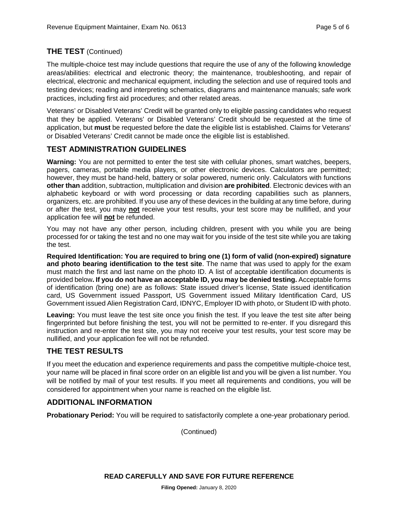#### **THE TEST** (Continued)

The multiple-choice test may include questions that require the use of any of the following knowledge areas/abilities: electrical and electronic theory; the maintenance, troubleshooting, and repair of electrical, electronic and mechanical equipment, including the selection and use of required tools and testing devices; reading and interpreting schematics, diagrams and maintenance manuals; safe work practices, including first aid procedures; and other related areas.

Veterans' or Disabled Veterans' Credit will be granted only to eligible passing candidates who request that they be applied. Veterans' or Disabled Veterans' Credit should be requested at the time of application, but **must** be requested before the date the eligible list is established. Claims for Veterans' or Disabled Veterans' Credit cannot be made once the eligible list is established.

# **TEST ADMINISTRATION GUIDELINES**

**Warning:** You are not permitted to enter the test site with cellular phones, smart watches, beepers, pagers, cameras, portable media players, or other electronic devices. Calculators are permitted; however, they must be hand-held, battery or solar powered, numeric only. Calculators with functions **other than** addition, subtraction, multiplication and division **are prohibited**. Electronic devices with an alphabetic keyboard or with word processing or data recording capabilities such as planners, organizers, etc. are prohibited. If you use any of these devices in the building at any time before, during or after the test, you may **not** receive your test results, your test score may be nullified, and your application fee will **not** be refunded.

You may not have any other person, including children, present with you while you are being processed for or taking the test and no one may wait for you inside of the test site while you are taking the test.

**Required Identification: You are required to bring one (1) form of valid (non-expired) signature and photo bearing identification to the test site**. The name that was used to apply for the exam must match the first and last name on the photo ID. A list of acceptable identification documents is provided below**. If you do not have an acceptable ID, you may be denied testing.** Acceptable forms of identification (bring one) are as follows: State issued driver's license, State issued identification card, US Government issued Passport, US Government issued Military Identification Card, US Government issued Alien Registration Card, IDNYC, Employer ID with photo, or Student ID with photo.

**Leaving:** You must leave the test site once you finish the test. If you leave the test site after being fingerprinted but before finishing the test, you will not be permitted to re-enter. If you disregard this instruction and re-enter the test site, you may not receive your test results, your test score may be nullified, and your application fee will not be refunded.

# **THE TEST RESULTS**

If you meet the education and experience requirements and pass the competitive multiple-choice test, your name will be placed in final score order on an eligible list and you will be given a list number. You will be notified by mail of your test results. If you meet all requirements and conditions, you will be considered for appointment when your name is reached on the eligible list.

# **ADDITIONAL INFORMATION**

**Probationary Period:** You will be required to satisfactorily complete a one-year probationary period.

(Continued)